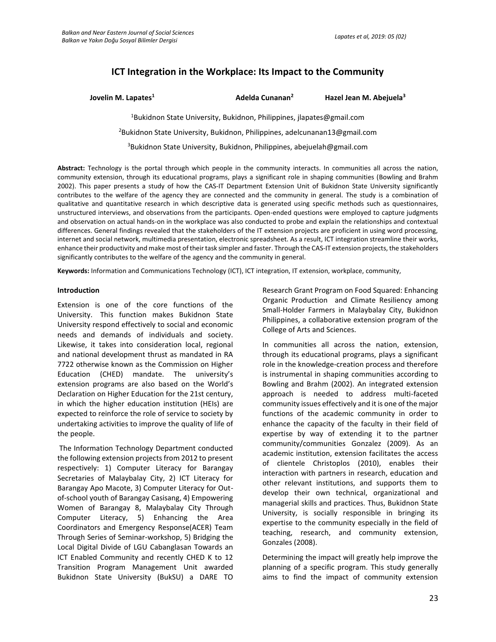# **ICT Integration in the Workplace: Its Impact to the Community**

**Jovelin M. Lapates<sup>1</sup> Adelda Cunanan<sup>2</sup> Hazel Jean M. Abejuela<sup>3</sup>** <sup>1</sup>Bukidnon State University, Bukidnon, Philippines, [jlapates@gmail.com](mailto:jlapates@gmail.com) <sup>2</sup>Bukidnon State University, Bukidnon, Philippines, [adelcunanan13@gmail.com](mailto:adelcunanan13@gmail.com) <sup>3</sup>Bukidnon State University, Bukidnon, Philippines, [abejuelah@gmail.com](mailto:abejuelah@gmail.com)

**Abstract:** Technology is the portal through which people in the community interacts. In communities all across the nation, community extension, through its educational programs, plays a significant role in shaping communities (Bowling and Brahm 2002). This paper presents a study of how the CAS-IT Department Extension Unit of Bukidnon State University significantly contributes to the welfare of the agency they are connected and the community in general. The study is a combination of qualitative and quantitative research in which descriptive data is generated using specific methods such as questionnaires, unstructured interviews, and observations from the participants. Open-ended questions were employed to capture judgments and observation on actual hands-on in the workplace was also conducted to probe and explain the relationships and contextual differences. General findings revealed that the stakeholders of the IT extension projects are proficient in using word processing, internet and social network, multimedia presentation, electronic spreadsheet. As a result, ICT integration streamline their works, enhance their productivity and make most of their task simpler and faster. Through the CAS-IT extension projects, the stakeholders significantly contributes to the welfare of the agency and the community in general.

**Keywords:** Information and Communications Technology (ICT), ICT integration, IT extension, workplace, community,

### **Introduction**

Extension is one of the core functions of the University. This function makes Bukidnon State University respond effectively to social and economic needs and demands of individuals and society. Likewise, it takes into consideration local, regional and national development thrust as mandated in RA 7722 otherwise known as the Commission on Higher Education (CHED) mandate. The university's extension programs are also based on the World's Declaration on Higher Education for the 21st century, in which the higher education institution (HEIs) are expected to reinforce the role of service to society by undertaking activities to improve the quality of life of the people.

The Information Technology Department conducted the following extension projects from 2012 to present respectively: 1) Computer Literacy for Barangay Secretaries of Malaybalay City, 2) ICT Literacy for Barangay Apo Macote, 3) Computer Literacy for Outof-school youth of Barangay Casisang, 4) Empowering Women of Barangay 8, Malaybalay City Through Computer Literacy, 5) Enhancing the Area Coordinators and Emergency Response(ACER) Team Through Series of Seminar-workshop, 5) Bridging the Local Digital Divide of LGU Cabanglasan Towards an ICT Enabled Community and recently CHED K to 12 Transition Program Management Unit awarded Bukidnon State University (BukSU) a DARE TO

Research Grant Program on Food Squared: Enhancing Organic Production and Climate Resiliency among Small-Holder Farmers in Malaybalay City, Bukidnon Philippines, a collaborative extension program of the College of Arts and Sciences.

In communities all across the nation, extension, through its educational programs, plays a significant role in the knowledge-creation process and therefore is instrumental in shaping communities according to Bowling and Brahm (2002). An integrated extension approach is needed to address multi-faceted community issues effectively and it is one of the major functions of the academic community in order to enhance the capacity of the faculty in their field of expertise by way of extending it to the partner community/communities Gonzalez (2009). As an academic institution, extension facilitates the access of clientele Christoplos (2010), enables their interaction with partners in research, education and other relevant institutions, and supports them to develop their own technical, organizational and managerial skills and practices. Thus, Bukidnon State University, is socially responsible in bringing its expertise to the community especially in the field of teaching, research, and community extension, Gonzales (2008).

Determining the impact will greatly help improve the planning of a specific program. This study generally aims to find the impact of community extension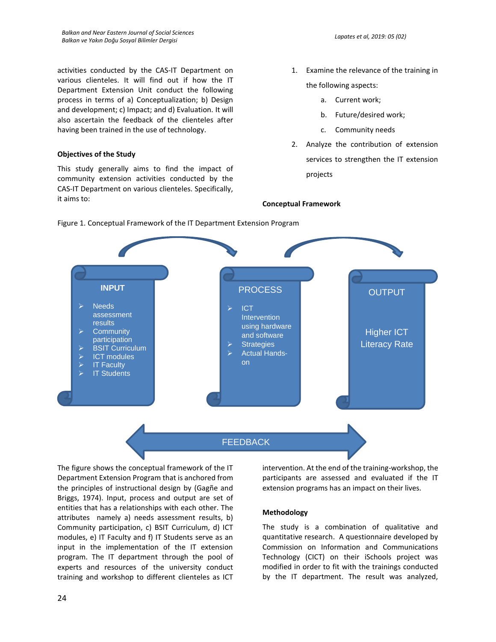activities conducted by the CAS-IT Department on various clienteles. It will find out if how the IT Department Extension Unit conduct the following process in terms of a) Conceptualization; b) Design and development; c) Impact; and d) Evaluation. It will also ascertain the feedback of the clienteles after having been trained in the use of technology.

## **Objectives of the Study**

This study generally aims to find the impact of community extension activities conducted by the CAS-IT Department on various clienteles. Specifically, it aims to:

- 1. Examine the relevance of the training in the following aspects:
	- a. Current work;

**Conceptual Framework** 

- b. Future/desired work;
- c. Community needs
- 2. Analyze the contribution of extension services to strengthen the IT extension projects



Figure 1. Conceptual Framework of the IT Department Extension Program

The figure shows the conceptual framework of the IT Department Extension Program that is anchored from the principles of instructional design by (Gagñe and Briggs, 1974). Input, process and output are set of entities that has a relationships with each other. The attributes namely a) needs assessment results, b) Community participation, c) BSIT Curriculum, d) ICT modules, e) IT Faculty and f) IT Students serve as an input in the implementation of the IT extension program. The IT department through the pool of experts and resources of the university conduct training and workshop to different clienteles as ICT

intervention. At the end of the training-workshop, the participants are assessed and evaluated if the IT extension programs has an impact on their lives.

# **Methodology**

The study is a combination of qualitative and quantitative research. A questionnaire developed by Commission on Information and Communications Technology (CICT) on their iSchools project was modified in order to fit with the trainings conducted by the IT department. The result was analyzed,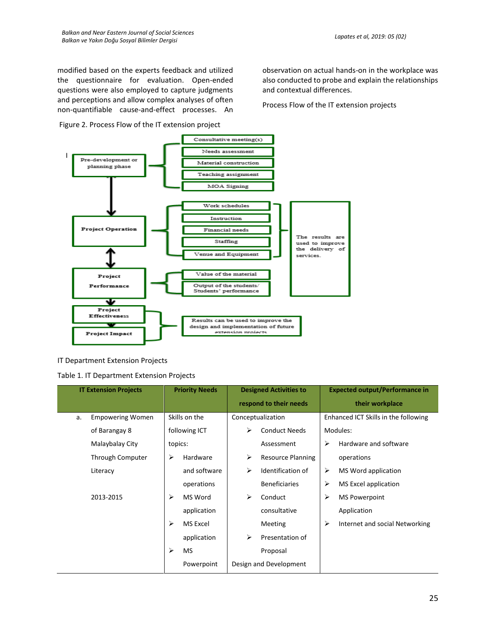modified based on the experts feedback and utilized the questionnaire for evaluation. Open-ended questions were also employed to capture judgments and perceptions and allow complex analyses of often non-quantifiable cause-and-effect processes. An

Figure 2. Process Flow of the IT extension project

observation on actual hands-on in the workplace was also conducted to probe and explain the relationships and contextual differences.

Process Flow of the IT extension projects



IT Department Extension Projects

Table 1. IT Department Extension Projects

| <b>IT Extension Projects</b> |                         |         | <b>Priority Needs</b> | <b>Designed Activities to</b> |                          |   | <b>Expected output/Performance in</b> |
|------------------------------|-------------------------|---------|-----------------------|-------------------------------|--------------------------|---|---------------------------------------|
|                              |                         |         |                       | respond to their needs        |                          |   | their workplace                       |
| a.                           | <b>Empowering Women</b> |         | Skills on the         |                               | Conceptualization        |   | Enhanced ICT Skills in the following  |
|                              | of Barangay 8           |         | following ICT         | ⋗                             | <b>Conduct Needs</b>     |   | Modules:                              |
|                              | Malaybalay City         | topics: |                       |                               | Assessment               | ⋗ | Hardware and software                 |
|                              | Through Computer        | ⋗       | Hardware              | ➤                             | <b>Resource Planning</b> |   | operations                            |
|                              | Literacy                |         | and software          | ➤                             | Identification of        | ⋗ | MS Word application                   |
|                              |                         |         | operations            |                               | <b>Beneficiaries</b>     | ➤ | MS Excel application                  |
|                              | 2013-2015               | ⋗       | MS Word               | ↘                             | Conduct                  | ⋗ | <b>MS Powerpoint</b>                  |
|                              |                         |         | application           |                               | consultative             |   | Application                           |
|                              |                         | ⋗       | MS Excel              |                               | Meeting                  | ➤ | Internet and social Networking        |
|                              |                         |         | application           | ➤                             | Presentation of          |   |                                       |
|                              |                         | ⋗       | <b>MS</b>             |                               | Proposal                 |   |                                       |
|                              |                         |         | Powerpoint            |                               | Design and Development   |   |                                       |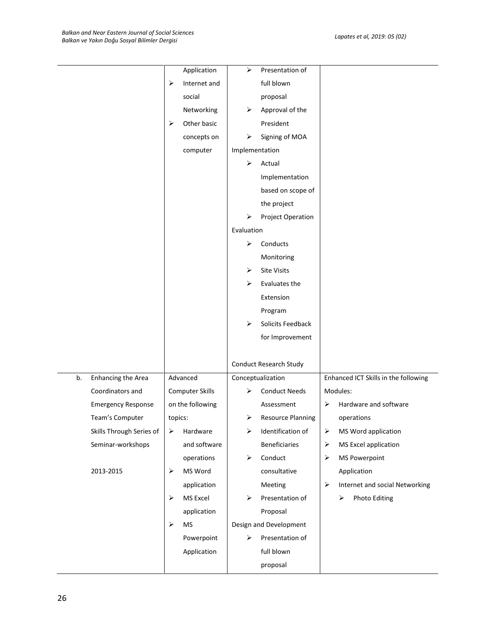|    |                           |                       | Application      | ⋗              | Presentation of          |                       |                                      |
|----|---------------------------|-----------------------|------------------|----------------|--------------------------|-----------------------|--------------------------------------|
|    |                           | ➤                     | Internet and     |                | full blown               |                       |                                      |
|    |                           |                       | social           |                | proposal                 |                       |                                      |
|    |                           |                       | Networking       | ➤              | Approval of the          |                       |                                      |
|    |                           | $\blacktriangleright$ | Other basic      |                | President                |                       |                                      |
|    |                           |                       | concepts on      | ➤              | Signing of MOA           |                       |                                      |
|    |                           |                       | computer         | Implementation |                          |                       |                                      |
|    |                           |                       |                  | ➤              | Actual                   |                       |                                      |
|    |                           |                       |                  |                | Implementation           |                       |                                      |
|    |                           |                       |                  |                | based on scope of        |                       |                                      |
|    |                           |                       |                  |                | the project              |                       |                                      |
|    |                           |                       |                  | ⋗              | Project Operation        |                       |                                      |
|    |                           |                       |                  | Evaluation     |                          |                       |                                      |
|    |                           |                       |                  | ➤              | Conducts                 |                       |                                      |
|    |                           |                       |                  |                | Monitoring               |                       |                                      |
|    |                           |                       |                  | ➤              | <b>Site Visits</b>       |                       |                                      |
|    |                           |                       |                  | ⋗              | Evaluates the            |                       |                                      |
|    |                           |                       |                  |                | Extension                |                       |                                      |
|    |                           |                       |                  |                | Program                  |                       |                                      |
|    |                           |                       |                  | ⋗              | Solicits Feedback        |                       |                                      |
|    |                           |                       |                  |                | for Improvement          |                       |                                      |
|    |                           |                       |                  |                |                          |                       |                                      |
|    |                           |                       |                  |                | Conduct Research Study   |                       |                                      |
| b. | Enhancing the Area        |                       | Advanced         |                | Conceptualization        |                       | Enhanced ICT Skills in the following |
|    | Coordinators and          |                       | Computer Skills  | ⋗              | <b>Conduct Needs</b>     |                       | Modules:                             |
|    | <b>Emergency Response</b> |                       | on the following |                | Assessment               | ➤                     | Hardware and software                |
|    | Team's Computer           | topics:               |                  | ➤              | <b>Resource Planning</b> |                       | operations                           |
|    | Skills Through Series of  | ➤                     | Hardware         | ≻              | Identification of        | $\blacktriangleright$ | MS Word application                  |
|    | Seminar-workshops         |                       | and software     |                | <b>Beneficiaries</b>     | $\blacktriangleright$ | MS Excel application                 |
|    |                           |                       | operations       | ➤              | Conduct                  | ➤                     | <b>MS Powerpoint</b>                 |
|    | 2013-2015                 | $\blacktriangleright$ | MS Word          |                | consultative             |                       | Application                          |
|    |                           |                       | application      |                | Meeting                  | ➤                     | Internet and social Networking       |
|    |                           | $\blacktriangleright$ | MS Excel         | ➤              | Presentation of          |                       | <b>Photo Editing</b><br>➤            |
|    |                           |                       | application      |                | Proposal                 |                       |                                      |
|    |                           | ➤                     | <b>MS</b>        |                | Design and Development   |                       |                                      |
|    |                           |                       | Powerpoint       | ➤              | Presentation of          |                       |                                      |
|    |                           |                       | Application      |                | full blown               |                       |                                      |
|    |                           |                       |                  |                | proposal                 |                       |                                      |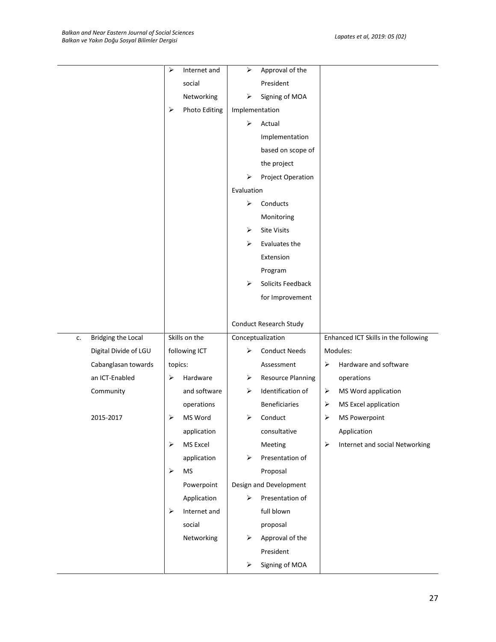|    |                           | $\blacktriangleright$ | Internet and         | ➤              | Approval of the          |                       |                                      |
|----|---------------------------|-----------------------|----------------------|----------------|--------------------------|-----------------------|--------------------------------------|
|    |                           |                       | social               |                | President                |                       |                                      |
|    |                           |                       | Networking           | ➤              | Signing of MOA           |                       |                                      |
|    |                           | ➤                     | <b>Photo Editing</b> | Implementation |                          |                       |                                      |
|    |                           |                       |                      | ➤              | Actual                   |                       |                                      |
|    |                           |                       |                      |                | Implementation           |                       |                                      |
|    |                           |                       |                      |                | based on scope of        |                       |                                      |
|    |                           |                       |                      |                | the project              |                       |                                      |
|    |                           |                       |                      | ➤              | Project Operation        |                       |                                      |
|    |                           |                       |                      | Evaluation     |                          |                       |                                      |
|    |                           |                       |                      | ➤              | Conducts                 |                       |                                      |
|    |                           |                       |                      |                | Monitoring               |                       |                                      |
|    |                           |                       |                      | ➤              | <b>Site Visits</b>       |                       |                                      |
|    |                           |                       |                      | ➤              | Evaluates the            |                       |                                      |
|    |                           |                       |                      |                | Extension                |                       |                                      |
|    |                           |                       |                      |                | Program                  |                       |                                      |
|    |                           |                       |                      | ➤              | Solicits Feedback        |                       |                                      |
|    |                           |                       |                      |                | for Improvement          |                       |                                      |
|    |                           |                       |                      |                |                          |                       |                                      |
|    |                           |                       |                      |                | Conduct Research Study   |                       |                                      |
| c. | <b>Bridging the Local</b> |                       | Skills on the        |                | Conceptualization        |                       | Enhanced ICT Skills in the following |
|    | Digital Divide of LGU     |                       | following ICT        | ⋗              | <b>Conduct Needs</b>     |                       | Modules:                             |
|    | Cabanglasan towards       | topics:               |                      |                | Assessment               | ➤                     | Hardware and software                |
|    | an ICT-Enabled            | ➤                     | Hardware             | ➤              | <b>Resource Planning</b> |                       | operations                           |
|    | Community                 |                       | and software         | ➤              | Identification of        | ➤                     | MS Word application                  |
|    |                           |                       | operations           |                | <b>Beneficiaries</b>     | ➤                     | MS Excel application                 |
|    | 2015-2017                 | ➤                     | MS Word              | ➤              | Conduct                  | ➤                     | <b>MS Powerpoint</b>                 |
|    |                           |                       | application          |                | consultative             |                       | Application                          |
|    |                           |                       |                      |                | Meeting                  | $\blacktriangleright$ | Internet and social Networking       |
|    |                           | ➤                     | MS Excel             |                |                          |                       |                                      |
|    |                           |                       | application          | ➤              | Presentation of          |                       |                                      |
|    |                           | $\blacktriangleright$ | <b>MS</b>            |                | Proposal                 |                       |                                      |
|    |                           |                       | Powerpoint           |                | Design and Development   |                       |                                      |
|    |                           |                       | Application          | ➤              | Presentation of          |                       |                                      |
|    |                           | $\blacktriangleright$ | Internet and         |                | full blown               |                       |                                      |
|    |                           |                       | social               |                | proposal                 |                       |                                      |
|    |                           |                       | Networking           | ➤              | Approval of the          |                       |                                      |
|    |                           |                       |                      |                | President                |                       |                                      |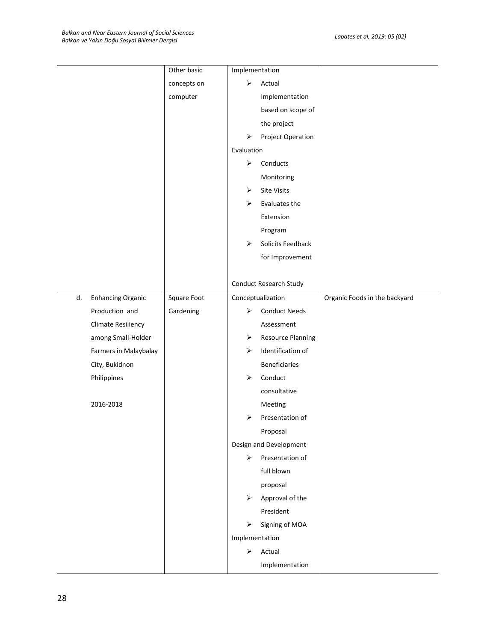|    |                           | Other basic | Implementation |                          |                               |
|----|---------------------------|-------------|----------------|--------------------------|-------------------------------|
|    |                           | concepts on | ➤              | Actual                   |                               |
|    |                           | computer    |                | Implementation           |                               |
|    |                           |             |                | based on scope of        |                               |
|    |                           |             |                | the project              |                               |
|    |                           |             | ➤              | Project Operation        |                               |
|    |                           |             | Evaluation     |                          |                               |
|    |                           |             | ➤              | Conducts                 |                               |
|    |                           |             |                | Monitoring               |                               |
|    |                           |             | ➤              | Site Visits              |                               |
|    |                           |             | ➤              | Evaluates the            |                               |
|    |                           |             |                | Extension                |                               |
|    |                           |             |                | Program                  |                               |
|    |                           |             | ➤              | Solicits Feedback        |                               |
|    |                           |             |                | for Improvement          |                               |
|    |                           |             |                |                          |                               |
|    |                           |             |                | Conduct Research Study   |                               |
| d. | <b>Enhancing Organic</b>  | Square Foot |                | Conceptualization        | Organic Foods in the backyard |
|    | Production and            | Gardening   | ⋗              | <b>Conduct Needs</b>     |                               |
|    | <b>Climate Resiliency</b> |             |                | Assessment               |                               |
|    | among Small-Holder        |             | ➤              | <b>Resource Planning</b> |                               |
|    | Farmers in Malaybalay     |             | ➤              | Identification of        |                               |
|    | City, Bukidnon            |             |                | Beneficiaries            |                               |
|    | Philippines               |             | ➤              | Conduct                  |                               |
|    |                           |             |                | consultative             |                               |
|    | 2016-2018                 |             |                | Meeting                  |                               |
|    |                           |             | ⋗              | Presentation of          |                               |
|    |                           |             |                | Proposal                 |                               |
|    |                           |             |                | Design and Development   |                               |
|    |                           |             | ➤              | Presentation of          |                               |
|    |                           |             |                | full blown               |                               |
|    |                           |             |                | proposal                 |                               |
|    |                           |             | ➤              | Approval of the          |                               |
|    |                           |             |                | President                |                               |
|    |                           |             | ➤              | Signing of MOA           |                               |
|    |                           |             | Implementation |                          |                               |
|    |                           |             | ➤              | Actual                   |                               |
|    |                           |             |                | Implementation           |                               |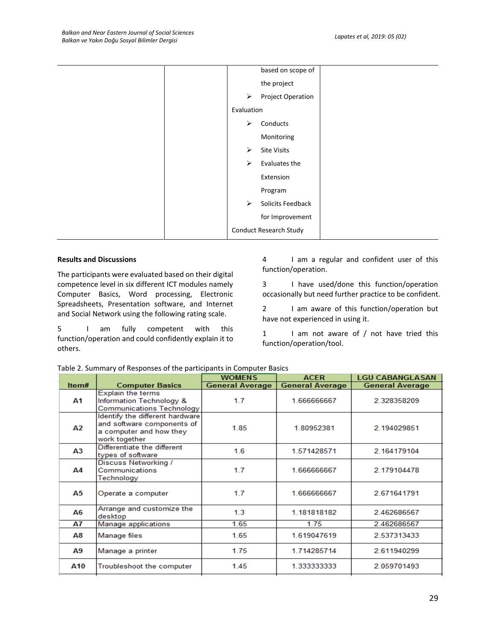| based on scope of                          |  |
|--------------------------------------------|--|
| the project                                |  |
| $\blacktriangleright$<br>Project Operation |  |
| Evaluation                                 |  |
| $\blacktriangleright$<br>Conducts          |  |
| Monitoring                                 |  |
| ➤<br><b>Site Visits</b>                    |  |
| ➤<br>Evaluates the                         |  |
| Extension                                  |  |
| Program                                    |  |
| Solicits Feedback<br>$\blacktriangleright$ |  |
| for Improvement                            |  |
| <b>Conduct Research Study</b>              |  |

## **Results and Discussions**

The participants were evaluated based on their digital competence level in six different ICT modules namely Computer Basics, Word processing, Electronic Spreadsheets, Presentation software, and Internet and Social Network using the following rating scale.

5 I am fully competent with this function/operation and could confidently explain it to others.

4 I am a regular and confident user of this function/operation.

3 I have used/done this function/operation occasionally but need further practice to be confident.

2 I am aware of this function/operation but have not experienced in using it.

1 I am not aware of / not have tried this function/operation/tool.

|                |                                                                                                           | <b>WOMENS</b>          | <b>ACER</b>            | <b>LGU CABANGLASAN</b> |
|----------------|-----------------------------------------------------------------------------------------------------------|------------------------|------------------------|------------------------|
| Item#          | <b>Computer Basics</b>                                                                                    | <b>General Average</b> | <b>General Average</b> | <b>General Average</b> |
| Α1             | <b>Explain the terms</b><br>Information Technology &<br>Communications Technology                         | 1.7 <sub>z</sub>       | 1.666666667            | 2.328358209            |
| А2             | Identify the different hardware<br>and software components of<br>a computer and how they<br>work together | 1.85                   | 1.80952381             | 2.194029851            |
| A <sub>3</sub> | Differentiate the different<br>types of software                                                          | 1.6                    | 1.571428571            | 2.164179104            |
| Α4             | Discuss Networking /<br>Communications<br>Technology                                                      | 1.7                    | 1.666666667            | 2.179104478            |
| А5             | Operate a computer                                                                                        | 1.7                    | 1.666666667            | 2.671641791            |
| А6             | Arrange and customize the<br>desktop                                                                      | 1.3                    | 1.181818182            | 2.462686567            |
| <b>A7</b>      | Manage applications                                                                                       | 1.65                   | 1.75                   | 2.462686567            |
| Α8             | Manage files                                                                                              | 1.65                   | 1.619047619            | 2.537313433            |
| A9             | Manage a printer                                                                                          | 1.75                   | 1.714285714            | 2.611940299            |
| A10            | Troubleshoot the computer                                                                                 | 1.45                   | 1.333333333            | 2.059701493            |

| Table 2. Summary of Responses of the participants in Computer Basics |  |  |  |
|----------------------------------------------------------------------|--|--|--|
|----------------------------------------------------------------------|--|--|--|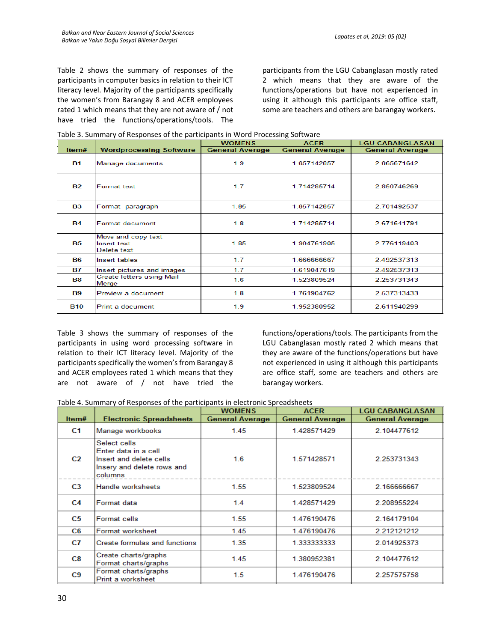Table 2 shows the summary of responses of the participants in computer basics in relation to their ICT literacy level. Majority of the participants specifically the women's from Barangay 8 and ACER employees rated 1 which means that they are not aware of / not have tried the functions/operations/tools. The

participants from the LGU Cabanglasan mostly rated 2 which means that they are aware of the functions/operations but have not experienced in using it although this participants are office staff, some are teachers and others are barangay workers.

|  |  |  | Table 3. Summary of Responses of the participants in Word Processing Software |
|--|--|--|-------------------------------------------------------------------------------|
|--|--|--|-------------------------------------------------------------------------------|

|            |                                                  | <b>WOMENS</b>          | <b>ACER</b>            | <b>LGU CABANGLASAN</b> |
|------------|--------------------------------------------------|------------------------|------------------------|------------------------|
| Item#      | <b>Wordprocessing Software</b>                   | <b>General Average</b> | <b>General Average</b> | <b>General Average</b> |
| <b>B1</b>  | Manage documents                                 | 1.9                    | 1.857142857            | 2.865671642            |
| <b>B2</b>  | <b>Format text</b>                               | 1.7                    | 1.714285714            | 2.850746269            |
| <b>B3</b>  | Format paragraph                                 | 1.85                   | 1.857142857            | 2.701492537            |
| <b>B4</b>  | Format document                                  | 1.8                    | 1.714285714            | 2.671641791            |
| <b>B5</b>  | Move and copy text<br>Insert text<br>Delete text | 1.85                   | 1.904761905            | 2.776119403            |
| <b>B6</b>  | Insert tables                                    | 1.7                    | 1.666666667            | 2.492537313            |
| <b>B7</b>  | Insert pictures and images                       | 1.7                    | 1.619047619            | 2.492537313            |
| <b>B8</b>  | <b>Create letters using Mail</b><br>Merge        | 1.6                    | 1.523809524            | 2.253731343            |
| <b>B9</b>  | Preview a document                               | 1.8                    | 1.761904762            | 2.537313433            |
| <b>B10</b> | Print a document                                 | 1.9                    | 1.952380952            | 2.611940299            |

Table 3 shows the summary of responses of the participants in using word processing software in relation to their ICT literacy level. Majority of the participants specifically the women's from Barangay 8 and ACER employees rated 1 which means that they are not aware of / not have tried the functions/operations/tools. The participants from the LGU Cabanglasan mostly rated 2 which means that they are aware of the functions/operations but have not experienced in using it although this participants are office staff, some are teachers and others are barangay workers.

| Table 4. Summary of Responses of the participants in electronic Spreadsheets |  |  |
|------------------------------------------------------------------------------|--|--|
|------------------------------------------------------------------------------|--|--|

|                |                                                                                                          | <b>WOMENS</b>          | <b>ACER</b>            | <b>LGU CABANGLASAN</b> |
|----------------|----------------------------------------------------------------------------------------------------------|------------------------|------------------------|------------------------|
| Item#          | <b>Electronic Spreadsheets</b>                                                                           | <b>General Average</b> | <b>General Average</b> | <b>General Average</b> |
| C1             | Manage workbooks                                                                                         | 1.45                   | 1.428571429            | 2.104477612            |
| C <sub>2</sub> | Select cells<br>Enter data in a cell<br>Insert and delete cells<br>Insery and delete rows and<br>columns | 1.6                    | 1.571428571            | 2.253731343            |
| C <sub>3</sub> | Handle worksheets                                                                                        | 1.55                   | 1.523809524            | 2.166666667            |
| C4             | Format data                                                                                              | 1.4                    | 1.428571429            | 2.208955224            |
| C5             | <b>Format cells</b>                                                                                      | 1.55                   | 1.476190476            | 2.164179104            |
| C6             | Format worksheet                                                                                         | 1.45                   | 1.476190476            | 2.212121212            |
| C7             | Create formulas and functions                                                                            | 1.35                   | 1.333333333            | 2.014925373            |
| C8             | Create charts/graphs<br>Format charts/graphs                                                             | 1.45                   | 1.380952381            | 2.104477612            |
| C9             | Format charts/graphs<br>Print a worksheet                                                                | 1.5                    | 1.476190476            | 2.257575758            |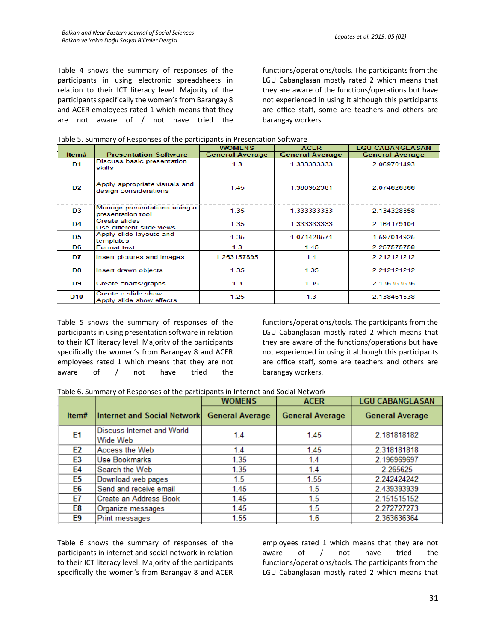Table 4 shows the summary of responses of the participants in using electronic spreadsheets in relation to their ICT literacy level. Majority of the participants specifically the women's from Barangay 8 and ACER employees rated 1 which means that they are not aware of / not have tried the functions/operations/tools. The participants from the LGU Cabanglasan mostly rated 2 which means that they are aware of the functions/operations but have not experienced in using it although this participants are office staff, some are teachers and others are barangay workers.

|  |  |  |  |  | Table 5. Summary of Responses of the participants in Presentation Software |
|--|--|--|--|--|----------------------------------------------------------------------------|
|--|--|--|--|--|----------------------------------------------------------------------------|

|                 |                                                        | <b>WOMENS</b>          | <b>ACER</b>            | <b>LGU CABANGLASAN</b> |
|-----------------|--------------------------------------------------------|------------------------|------------------------|------------------------|
| Item#           | <b>Presentation Software</b>                           | <b>General Average</b> | <b>General Average</b> | <b>General Average</b> |
| D1              | Discuss basic presentation<br>skills                   | 1.3                    | 1.333333333            | 2.059701493            |
| D <sub>2</sub>  | Apply appropriate visuals and<br>design considerations | 1.45                   | 1.380952381            | 2.074626866            |
| D <sub>3</sub>  | Manage presentations using a<br>presentation tool      | 1.35                   | 1.333333333            | 2.134328358            |
| D <sub>4</sub>  | Create slides<br>Use different slide views             | 1.35                   | 1.333333333            | 2.164179104            |
| D5              | Apply slide layouts and<br>templates                   | 1.35                   | 1.071428571            | 1.597014925            |
| D6              | <b>Format text</b>                                     | 1.3                    | 1.45                   | 2.257575758            |
| D7              | Insert pictures and images                             | 1.263157895            | 1.4                    | 2.212121212            |
| D8              | Insert drawn objects                                   | 1.35                   | 1.35                   | 2.212121212            |
| D <sub>9</sub>  | Create charts/graphs                                   | 1.3                    | 1.35                   | 2.136363636            |
| D <sub>10</sub> | Create a slide show<br>Apply slide show effects        | 1.25                   | 1.3                    | 2.138461538            |

Table 5 shows the summary of responses of the participants in using presentation software in relation to their ICT literacy level. Majority of the participants specifically the women's from Barangay 8 and ACER employees rated 1 which means that they are not aware of / not have tried the functions/operations/tools. The participants from the LGU Cabanglasan mostly rated 2 which means that they are aware of the functions/operations but have not experienced in using it although this participants are office staff, some are teachers and others are barangay workers.

|  |  |  | Table 6. Summary of Responses of the participants in Internet and Social Network |  |  |  |
|--|--|--|----------------------------------------------------------------------------------|--|--|--|
|--|--|--|----------------------------------------------------------------------------------|--|--|--|

|                                               | <b>WOMENS</b>          | <b>ACER</b>                        | <b>LGU CABANGLASAN</b> |
|-----------------------------------------------|------------------------|------------------------------------|------------------------|
|                                               | <b>General Average</b> | <b>General Average</b>             | <b>General Average</b> |
| <b>Discuss Internet and World</b><br>Wide Web | 1.4                    | 1.45                               | 2.181818182            |
| Access the Web                                | 1.4                    | 1.45                               | 2.318181818            |
| Use Bookmarks                                 | 1.35                   | 1.4                                | 2.196969697            |
| Search the Web                                | 1.35                   | 1.4                                | 2.265625               |
| Download web pages                            | 1.5                    | 1.55                               | 2.242424242            |
| Send and receive email                        | 1.45                   | 1.5                                | 2.439393939            |
| Create an Address Book                        | 1.45                   | 1.5                                | 2.151515152            |
| Organize messages                             | 1.45                   | 1.5                                | 2.272727273            |
| <b>Print messages</b>                         | 1.55                   | 1.6                                | 2.363636364            |
|                                               |                        | <b>Internet and Social Network</b> |                        |

Table 6 shows the summary of responses of the participants in internet and social network in relation to their ICT literacy level. Majority of the participants specifically the women's from Barangay 8 and ACER employees rated 1 which means that they are not aware of / not have tried the functions/operations/tools. The participants from the LGU Cabanglasan mostly rated 2 which means that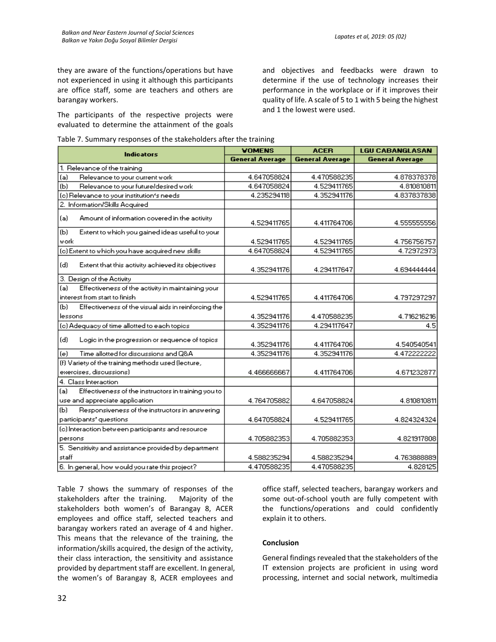they are aware of the functions/operations but have not experienced in using it although this participants are office staff, some are teachers and others are barangay workers.

The participants of the respective projects were evaluated to determine the attainment of the goals and objectives and feedbacks were drawn to determine if the use of technology increases their performance in the workplace or if it improves their quality of life. A scale of 5 to 1 with 5 being the highest and 1 the lowest were used.

| Table 7. Summary responses of the stakeholders after the training |  |
|-------------------------------------------------------------------|--|
|-------------------------------------------------------------------|--|

|                                                            | <b>VOMENS</b>          | <b>ACER</b>            | <b>LGU CABANGLASAN</b> |
|------------------------------------------------------------|------------------------|------------------------|------------------------|
| <b>Indicators</b>                                          | <b>General Average</b> | <b>General Average</b> | <b>General Average</b> |
| 1. Relevance of the training                               |                        |                        |                        |
| (a)<br>Relevance to your current work                      | 4.647058824            | 4.470588235            | 4.878378378            |
| Relevance to your future/desired work<br>(b)               | 4.647058824            | 4.529411765            | 4.810810811            |
| (c) Relevance to your institution's needs                  | 4.235294118            | 4.352941176            | 4.837837838            |
| 2. Information/Skills Acquired                             |                        |                        |                        |
| (a)<br>Amount of information covered in the activity       | 4.529411765            | 4.411764706            | 4.555555556            |
| (b)<br>Extent to which you gained ideas useful to your     |                        |                        |                        |
| work                                                       | 4.529411765            | 4.529411765            | 4.756756757            |
| (c) Extent to which you have acquired new skills           | 4.647058824            | 4.529411765            | 4.72972973             |
| (d)<br>Extent that this activity achieved its objectives   | 4.352941176            | 4.294117647            | 4.694444444            |
| 3. Design of the Activity                                  |                        |                        |                        |
| Effectiveness of the activity in maintaining your<br>(a)   |                        |                        |                        |
| interest from start to finish                              | 4.529411765            | 4.411764706            | 4.797297297            |
| Effectiveness of the visual aids in reinforcing the<br>(Ы  |                        |                        |                        |
| lessons                                                    | 4.352941176            | 4.470588235            | 4.716216216            |
| (c) Adequacy of time allotted to each topics               | 4.352941176            | 4.294117647            | 4.5                    |
| (d)<br>Logic in the progression or sequence of topics      | 4.352941176            | 4.411764706            | 4.540540541            |
| Time allotted for discussions and Q&A<br>(e)               | 4.352941176            | 4.352941176            | 4.472222222            |
| (f) Variety of the training methods used (lecture,         |                        |                        |                        |
| exercises, discussions)                                    | 4.466666667            | 4.411764706            | 4.671232877            |
| 4. Class Interaction                                       |                        |                        |                        |
| Effectiveness of the instructors in training you to<br>(a) |                        |                        |                        |
| use and appreciate application.                            | 4.764705882            | 4.647058824            | 4.810810811            |
| Responsiveness of the instructors in answering<br>(Ы       |                        |                        |                        |
| participants' questions                                    | 4.647058824            | 4.529411765            | 4.824324324            |
| (c) Interaction between participants and resource          |                        |                        |                        |
| persons                                                    | 4.705882353            | 4.705882353            | 4.821917808            |
| 5. Sensitivity and assistance provided by department       |                        |                        |                        |
| staff                                                      | 4.588235294            | 4.588235294            | 4.763888889            |
| 6. In general, how would you rate this project?            | 4.470588235            | 4.470588235            | 4.828125               |

Table 7 shows the summary of responses of the stakeholders after the training. Majority of the stakeholders both women's of Barangay 8, ACER employees and office staff, selected teachers and barangay workers rated an average of 4 and higher. This means that the relevance of the training, the information/skills acquired, the design of the activity, their class interaction, the sensitivity and assistance provided by department staff are excellent. In general, the women's of Barangay 8, ACER employees and

office staff, selected teachers, barangay workers and some out-of-school youth are fully competent with the functions/operations and could confidently explain it to others.

### **Conclusion**

General findings revealed that the stakeholders of the IT extension projects are proficient in using word processing, internet and social network, multimedia